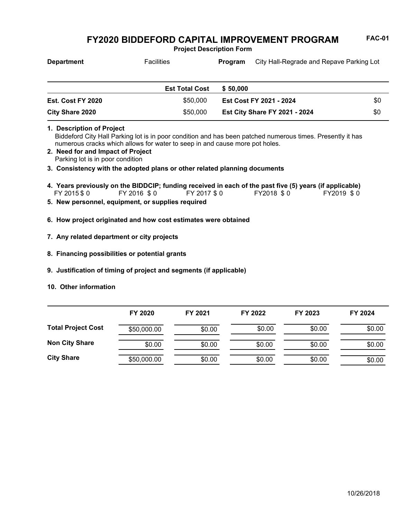**Project Description Form**

| <b>Department</b>                                                                                  | <b>Facilities</b>                                                                                                                                                                         | Program  |                                      | City Hall-Regrade and Repave Parking Lot |
|----------------------------------------------------------------------------------------------------|-------------------------------------------------------------------------------------------------------------------------------------------------------------------------------------------|----------|--------------------------------------|------------------------------------------|
|                                                                                                    | <b>Est Total Cost</b>                                                                                                                                                                     | \$50,000 |                                      |                                          |
| Est. Cost FY 2020                                                                                  | \$50,000                                                                                                                                                                                  |          | Est Cost FY 2021 - 2024              | \$0                                      |
| <b>City Share 2020</b>                                                                             | \$50,000                                                                                                                                                                                  |          | <b>Est City Share FY 2021 - 2024</b> | \$0                                      |
| 1. Description of Project<br>2. Need for and Impact of Project<br>Parking lot is in poor condition | Biddeford City Hall Parking lot is in poor condition and has been patched numerous times. Presently it has<br>numerous cracks which allows for water to seep in and cause more pot holes. |          |                                      |                                          |
|                                                                                                    | 3. Consistency with the adopted plans or other related planning documents                                                                                                                 |          |                                      |                                          |
| FY 2015 \$0                                                                                        | 4. Years previously on the BIDDCIP; funding received in each of the past five (5) years (if applicable)<br>FY 2016 \$0<br>FY 2017 \$ 0                                                    |          | FY2018 \$0                           | FY2019 \$0                               |

- **5. New personnel, equipment, or supplies required**
- **6. How project originated and how cost estimates were obtained**
- **7. Any related department or city projects**
- **8. Financing possibilities or potential grants**
- **9. Justification of timing of project and segments (if applicable)**
- **10. Other information**

|                           | FY 2020     | FY 2021 | FY 2022 | FY 2023 | FY 2024 |
|---------------------------|-------------|---------|---------|---------|---------|
| <b>Total Project Cost</b> | \$50,000.00 | \$0.00  | \$0.00  | \$0.00  | \$0.00  |
| <b>Non City Share</b>     | \$0.00      | \$0.00  | \$0.00  | \$0.00  | \$0.00  |
| <b>City Share</b>         | \$50,000.00 | \$0.00  | \$0.00  | \$0.00  | \$0.00  |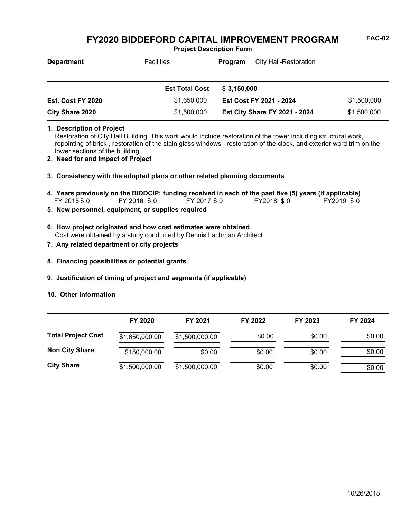**Project Description Form**

| <b>Department</b> | <b>Facilities</b>     | Program     | City Hall-Restoration                |             |
|-------------------|-----------------------|-------------|--------------------------------------|-------------|
|                   |                       |             |                                      |             |
|                   | <b>Est Total Cost</b> | \$3,150,000 |                                      |             |
| Est. Cost FY 2020 | \$1,650,000           |             | Est Cost FY 2021 - 2024              | \$1,500,000 |
| City Share 2020   | \$1,500,000           |             | <b>Est City Share FY 2021 - 2024</b> | \$1,500,000 |

**1. Description of Project**

Restoration of City Hall Building. This work would include restoration of the tower including structural work, repointing of brick , restoration of the stain glass windows , restoration of the clock, and exterior word trim on the lower sections of the building

- **2. Need for and Impact of Project**
- **3. Consistency with the adopted plans or other related planning documents**

FY 2015 \$0 FY 2016 \$0 FY 2017 \$0 FY2018 \$0 FY2019 \$0 **4. Years previously on the BIDDCIP; funding received in each of the past five (5) years (if applicable)**

- **5. New personnel, equipment, or supplies required**
- Cost were obtained by a study conducted by Dennis Lachman Architect **6. How project originated and how cost estimates were obtained**
- **7. Any related department or city projects**
- **8. Financing possibilities or potential grants**
- **9. Justification of timing of project and segments (if applicable)**
- **10. Other information**

|                           | FY 2020        | FY 2021        | FY 2022 | FY 2023 | FY 2024 |
|---------------------------|----------------|----------------|---------|---------|---------|
| <b>Total Project Cost</b> | \$1,650,000.00 | \$1,500,000.00 | \$0.00  | \$0.00  | \$0.00  |
| <b>Non City Share</b>     | \$150,000.00   | \$0.00         | \$0.00  | \$0.00  | \$0.00  |
| <b>City Share</b>         | \$1,500,000.00 | \$1,500,000.00 | \$0.00  | \$0.00  | \$0.00  |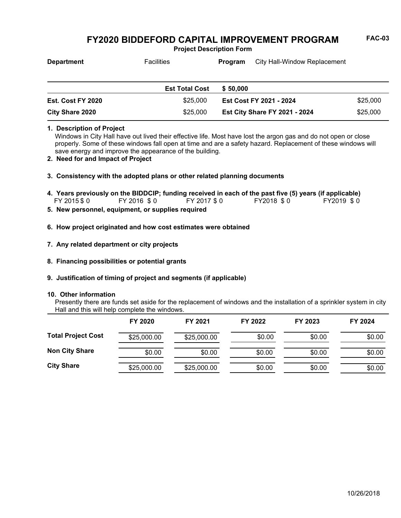**Project Description Form**

| <b>Department</b>      | <b>Facilities</b>     | City Hall-Window Replacement<br><b>Program</b> |                                      |          |
|------------------------|-----------------------|------------------------------------------------|--------------------------------------|----------|
|                        | <b>Est Total Cost</b> | \$50,000                                       |                                      |          |
| Est. Cost FY 2020      | \$25,000              | <b>Est Cost FY 2021 - 2024</b>                 |                                      | \$25,000 |
| <b>City Share 2020</b> | \$25,000              |                                                | <b>Est City Share FY 2021 - 2024</b> | \$25,000 |

**1. Description of Project**

Windows in City Hall have out lived their effective life. Most have lost the argon gas and do not open or close properly. Some of these windows fall open at time and are a safety hazard. Replacement of these windows will save energy and improve the appearance of the building.

- **2. Need for and Impact of Project**
- **3. Consistency with the adopted plans or other related planning documents**
- FY 2015 \$0 FY 2016 \$0 FY 2017 \$0 FY2018 \$0 FY2019 \$0 **4. Years previously on the BIDDCIP; funding received in each of the past five (5) years (if applicable)**<br>FY 2015 \$ 0 FY 2016 \$ 0 FY 2017 \$ 0 FY 2018 \$ 0 FY 2019 \$ 0
- **5. New personnel, equipment, or supplies required**
- **6. How project originated and how cost estimates were obtained**
- **7. Any related department or city projects**
- **8. Financing possibilities or potential grants**
- **9. Justification of timing of project and segments (if applicable)**

#### **10. Other information**

Presently there are funds set aside for the replacement of windows and the installation of a sprinkler system in city Hall and this will help complete the windows.

|                           | FY 2020     | FY 2021     | FY 2022 | FY 2023 | FY 2024 |
|---------------------------|-------------|-------------|---------|---------|---------|
| <b>Total Project Cost</b> | \$25,000.00 | \$25,000.00 | \$0.00  | \$0.00  | \$0.00  |
| <b>Non City Share</b>     | \$0.00      | \$0.00      | \$0.00  | \$0.00  | \$0.00  |
| <b>City Share</b>         | \$25,000.00 | \$25,000.00 | \$0.00  | \$0.00  | \$0.00  |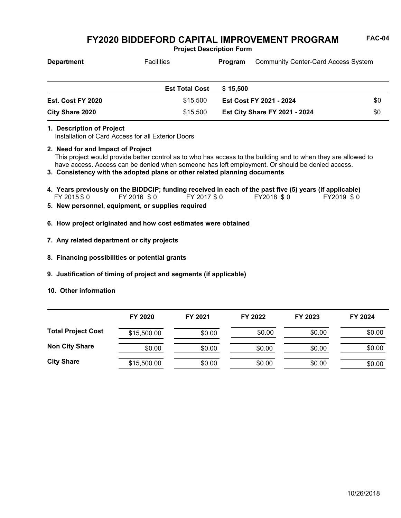**Project Description Form**

| <b>Department</b> | <b>Facilities</b>     | <b>Program</b>                       | <b>Community Center-Card Access System</b> |     |
|-------------------|-----------------------|--------------------------------------|--------------------------------------------|-----|
|                   | <b>Est Total Cost</b> | \$15,500                             |                                            |     |
| Est. Cost FY 2020 | \$15,500              | Est Cost FY 2021 - 2024              |                                            | \$0 |
| City Share 2020   | \$15,500              | <b>Est City Share FY 2021 - 2024</b> |                                            | \$0 |

#### **1. Description of Project**

Installation of Card Access for all Exterior Doors

### **2. Need for and Impact of Project**

This project would provide better control as to who has access to the building and to when they are allowed to have access. Access can be denied when someone has left employment. Or should be denied access.

**3. Consistency with the adopted plans or other related planning documents**

- FY 2015 \$ 0 FY 2016 \$ 0 FY 2017 \$ 0 FY2018 \$ 0 FY2019 \$ 0 **4. Years previously on the BIDDCIP; funding received in each of the past five (5) years (if applicable)**
- **5. New personnel, equipment, or supplies required**
- **6. How project originated and how cost estimates were obtained**
- **7. Any related department or city projects**
- **8. Financing possibilities or potential grants**
- **9. Justification of timing of project and segments (if applicable)**
- **10. Other information**

|                           | FY 2020     | FY 2021 | FY 2022 | FY 2023 | FY 2024 |
|---------------------------|-------------|---------|---------|---------|---------|
| <b>Total Project Cost</b> | \$15,500.00 | \$0.00  | \$0.00  | \$0.00  | \$0.00  |
| <b>Non City Share</b>     | \$0.00      | \$0.00  | \$0.00  | \$0.00  | \$0.00  |
| <b>City Share</b>         | \$15,500.00 | \$0.00  | \$0.00  | \$0.00  | \$0.00  |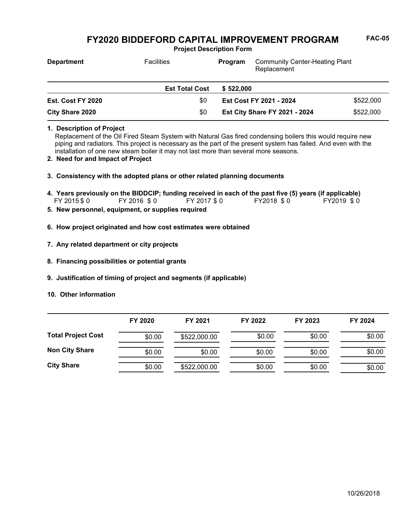**Project Description Form**

| <b>Department</b> | <b>Facilities</b>     | <b>Community Center-Heating Plant</b><br>Program<br>Replacement<br>\$522.000<br>Est Cost FY 2021 - 2024 |                                      |           |
|-------------------|-----------------------|---------------------------------------------------------------------------------------------------------|--------------------------------------|-----------|
|                   | <b>Est Total Cost</b> |                                                                                                         |                                      |           |
| Est. Cost FY 2020 | \$0                   |                                                                                                         |                                      | \$522,000 |
| City Share 2020   | \$0                   |                                                                                                         | <b>Est City Share FY 2021 - 2024</b> | \$522,000 |

**1. Description of Project**

Replacement of the Oil Fired Steam System with Natural Gas fired condensing boilers this would require new piping and radiators. This project is necessary as the part of the present system has failed. And even with the installation of one new steam boiler it may not last more than several more seasons.

- **2. Need for and Impact of Project**
- **3. Consistency with the adopted plans or other related planning documents**

FY 2015 \$0 FY 2016 \$0 FY 2017 \$0 FY2018 \$0 FY2019 \$0 **4. Years previously on the BIDDCIP; funding received in each of the past five (5) years (if applicable)**

- **5. New personnel, equipment, or supplies required**
- **6. How project originated and how cost estimates were obtained**
- **7. Any related department or city projects**
- **8. Financing possibilities or potential grants**
- **9. Justification of timing of project and segments (if applicable)**
- **10. Other information**

|                           | FY 2020 | FY 2021      | FY 2022 | FY 2023 | FY 2024 |
|---------------------------|---------|--------------|---------|---------|---------|
| <b>Total Project Cost</b> | \$0.00  | \$522,000.00 | \$0.00  | \$0.00  | \$0.00  |
| <b>Non City Share</b>     | \$0.00  | \$0.00       | \$0.00  | \$0.00  | \$0.00  |
| <b>City Share</b>         | \$0.00  | \$522,000.00 | \$0.00  | \$0.00  | \$0.00  |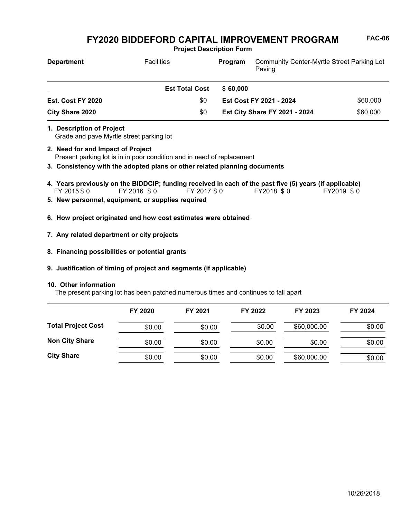**Project Description Form**

| <b>Department</b>        | <b>Facilities</b>     | <b>Program</b> | <b>Community Center-Myrtle Street Parking Lot</b><br>Paving |          |
|--------------------------|-----------------------|----------------|-------------------------------------------------------------|----------|
|                          | <b>Est Total Cost</b> | \$60,000       |                                                             |          |
| <b>Est. Cost FY 2020</b> | \$0                   |                | Est Cost FY 2021 - 2024                                     | \$60,000 |
| City Share 2020          | \$0                   |                | <b>Est City Share FY 2021 - 2024</b>                        | \$60,000 |

Grade and pave Myrtle street parking lot **1. Description of Project**

- Present parking lot is in in poor condition and in need of replacement **2. Need for and Impact of Project**
- **3. Consistency with the adopted plans or other related planning documents**
- FY 2015 \$ 0 FY 2016 \$ 0 FY 2017 \$ 0 FY2018 \$ 0 FY2019 \$ 0 **4. Years previously on the BIDDCIP; funding received in each of the past five (5) years (if applicable)**
- **5. New personnel, equipment, or supplies required**
- **6. How project originated and how cost estimates were obtained**
- **7. Any related department or city projects**
- **8. Financing possibilities or potential grants**
- **9. Justification of timing of project and segments (if applicable)**

#### **10. Other information**

The present parking lot has been patched numerous times and continues to fall apart

|                           | FY 2020 | FY 2021 | FY 2022 | FY 2023     | FY 2024 |
|---------------------------|---------|---------|---------|-------------|---------|
| <b>Total Project Cost</b> | \$0.00  | \$0.00  | \$0.00  | \$60,000.00 | \$0.00  |
| <b>Non City Share</b>     | \$0.00  | \$0.00  | \$0.00  | \$0.00      | \$0.00  |
| <b>City Share</b>         | \$0.00  | \$0.00  | \$0.00  | \$60,000.00 | \$0.00  |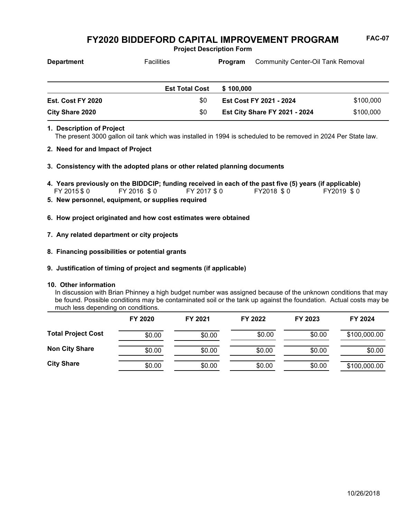**Project Description Form**

| <b>Department</b>        | <b>Facilities</b>     | Program                 | <b>Community Center-Oil Tank Removal</b> |           |
|--------------------------|-----------------------|-------------------------|------------------------------------------|-----------|
|                          | <b>Est Total Cost</b> | \$100.000               |                                          |           |
| <b>Est. Cost FY 2020</b> | \$0                   | Est Cost FY 2021 - 2024 |                                          | \$100,000 |
| <b>City Share 2020</b>   | \$0                   |                         | <b>Est City Share FY 2021 - 2024</b>     | \$100,000 |

## **1. Description of Project**

The present 3000 gallon oil tank which was installed in 1994 is scheduled to be removed in 2024 Per State law.

- **2. Need for and Impact of Project**
- **3. Consistency with the adopted plans or other related planning documents**
- FY 2015 \$ 0 FY 2016 \$ 0 FY 2017 \$ 0 FY2018 \$ 0 FY2019 \$ 0 **4. Years previously on the BIDDCIP; funding received in each of the past five (5) years (if applicable)**
- **5. New personnel, equipment, or supplies required**
- **6. How project originated and how cost estimates were obtained**
- **7. Any related department or city projects**
- **8. Financing possibilities or potential grants**
- **9. Justification of timing of project and segments (if applicable)**

#### **10. Other information**

In discussion with Brian Phinney a high budget number was assigned because of the unknown conditions that may be found. Possible conditions may be contaminated soil or the tank up against the foundation. Actual costs may be much less depending on conditions.

|                           | FY 2020 | FY 2021 | FY 2022 | FY 2023 | FY 2024      |
|---------------------------|---------|---------|---------|---------|--------------|
| <b>Total Project Cost</b> | \$0.00  | \$0.00  | \$0.00  | \$0.00  | \$100,000.00 |
| <b>Non City Share</b>     | \$0.00  | \$0.00  | \$0.00  | \$0.00  | \$0.00       |
| <b>City Share</b>         | \$0.00  | \$0.00  | \$0.00  | \$0.00  | \$100,000.00 |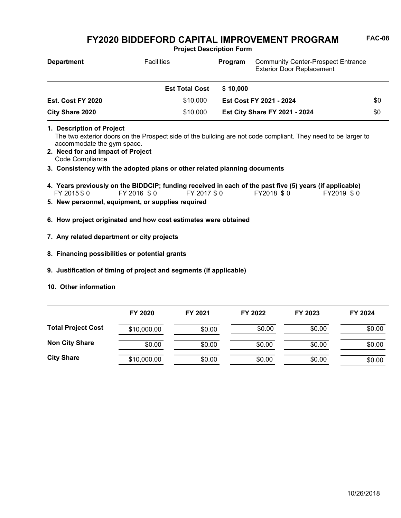**Project Description Form**

| <b>Department</b> | <b>Facilities</b>     | Program  | <b>Community Center-Prospect Entrance</b><br><b>Exterior Door Replacement</b> |     |
|-------------------|-----------------------|----------|-------------------------------------------------------------------------------|-----|
|                   | <b>Est Total Cost</b> | \$10,000 |                                                                               |     |
| Est. Cost FY 2020 | \$10,000              |          | Est Cost FY 2021 - 2024                                                       | \$0 |
| City Share 2020   | \$10,000              |          | <b>Est City Share FY 2021 - 2024</b>                                          | \$0 |

- The two exterior doors on the Prospect side of the building are not code compliant. They need to be larger to accommodate the gym space. **1. Description of Project**
- Code Compliance **2. Need for and Impact of Project**
- **3. Consistency with the adopted plans or other related planning documents**
- FY 2015 \$ 0 FY 2016 \$ 0 FY 2017 \$ 0 FY2018 \$ 0 FY2019 \$ 0 **4. Years previously on the BIDDCIP; funding received in each of the past five (5) years (if applicable)**
- **5. New personnel, equipment, or supplies required**
- **6. How project originated and how cost estimates were obtained**
- **7. Any related department or city projects**
- **8. Financing possibilities or potential grants**
- **9. Justification of timing of project and segments (if applicable)**
- **10. Other information**

|                           | FY 2020     | FY 2021 | FY 2022 | FY 2023 | FY 2024 |
|---------------------------|-------------|---------|---------|---------|---------|
| <b>Total Project Cost</b> | \$10,000.00 | \$0.00  | \$0.00  | \$0.00  | \$0.00  |
| <b>Non City Share</b>     | \$0.00      | \$0.00  | \$0.00  | \$0.00  | \$0.00  |
| <b>City Share</b>         | \$10,000.00 | \$0.00  | \$0.00  | \$0.00  | \$0.00  |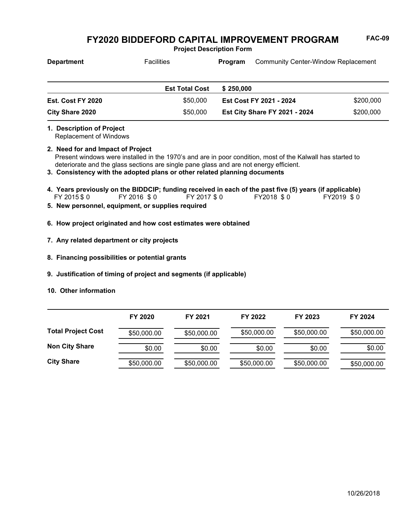**Project Description Form**

| <b>Department</b>                                          | <b>Facilities</b>                                                                                                                                                                                                                                                                 | Program                              | <b>Community Center-Window Replacement</b> |
|------------------------------------------------------------|-----------------------------------------------------------------------------------------------------------------------------------------------------------------------------------------------------------------------------------------------------------------------------------|--------------------------------------|--------------------------------------------|
|                                                            | <b>Est Total Cost</b>                                                                                                                                                                                                                                                             | \$250,000                            |                                            |
| Est. Cost FY 2020                                          | \$50,000                                                                                                                                                                                                                                                                          | Est Cost FY 2021 - 2024              | \$200,000                                  |
| City Share 2020                                            | \$50,000                                                                                                                                                                                                                                                                          | <b>Est City Share FY 2021 - 2024</b> | \$200,000                                  |
| 1. Description of Project<br><b>Replacement of Windows</b> |                                                                                                                                                                                                                                                                                   |                                      |                                            |
| 2. Need for and Impact of Project                          | Present windows were installed in the 1970's and are in poor condition, most of the Kalwall has started to<br>deteriorate and the glass sections are single pane glass and are not energy efficient.<br>3. Consistency with the adopted plans or other related planning documents |                                      |                                            |
| FY 2015 \$0                                                | 4. Years previously on the BIDDCIP; funding received in each of the past five (5) years (if applicable)<br>FY 2016 \$0<br>FY 2017 \$0                                                                                                                                             | FY2018 \$0                           | FY2019 \$0                                 |
|                                                            | 5. New personnel, equipment, or supplies required                                                                                                                                                                                                                                 |                                      |                                            |
|                                                            | 6. How project originated and how cost estimates were obtained                                                                                                                                                                                                                    |                                      |                                            |
| 7. Any related department or city projects                 |                                                                                                                                                                                                                                                                                   |                                      |                                            |

- **8. Financing possibilities or potential grants**
- **9. Justification of timing of project and segments (if applicable)**
- **10. Other information**

|                           | FY 2020     | FY 2021     | FY 2022     | FY 2023     | FY 2024     |
|---------------------------|-------------|-------------|-------------|-------------|-------------|
| <b>Total Project Cost</b> | \$50,000.00 | \$50,000.00 | \$50,000.00 | \$50,000.00 | \$50,000.00 |
| <b>Non City Share</b>     | \$0.00      | \$0.00      | \$0.00      | \$0.00      | \$0.00      |
| <b>City Share</b>         | \$50,000.00 | \$50,000.00 | \$50,000.00 | \$50,000.00 | \$50,000.00 |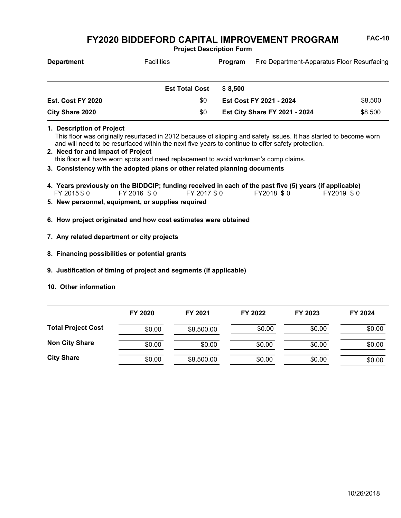**Project Description Form**

| <b>Department</b>      | <b>Facilities</b>     | Program  | Fire Department-Apparatus Floor Resurfacing |         |
|------------------------|-----------------------|----------|---------------------------------------------|---------|
|                        | <b>Est Total Cost</b> | \$ 8.500 |                                             |         |
| Est. Cost FY 2020      | \$0                   |          | Est Cost FY 2021 - 2024                     | \$8,500 |
| <b>City Share 2020</b> | \$0                   |          | <b>Est City Share FY 2021 - 2024</b>        | \$8,500 |

**1. Description of Project**

This floor was originally resurfaced in 2012 because of slipping and safety issues. It has started to become worn and will need to be resurfaced within the next five years to continue to offer safety protection.

- this floor will have worn spots and need replacement to avoid workman's comp claims. **2. Need for and Impact of Project**
- **3. Consistency with the adopted plans or other related planning documents**
- FY 2015 \$ 0 FY 2016 \$ 0 FY 2017 \$ 0 FY2018 \$ 0 FY2019 \$ 0 **4. Years previously on the BIDDCIP; funding received in each of the past five (5) years (if applicable)**
- **5. New personnel, equipment, or supplies required**
- **6. How project originated and how cost estimates were obtained**
- **7. Any related department or city projects**
- **8. Financing possibilities or potential grants**
- **9. Justification of timing of project and segments (if applicable)**
- **10. Other information**

|                           | FY 2020 | FY 2021    | FY 2022 | FY 2023 | FY 2024 |
|---------------------------|---------|------------|---------|---------|---------|
| <b>Total Project Cost</b> | \$0.00  | \$8,500.00 | \$0.00  | \$0.00  | \$0.00  |
| <b>Non City Share</b>     | \$0.00  | \$0.00     | \$0.00  | \$0.00  | \$0.00  |
| <b>City Share</b>         | \$0.00  | \$8,500.00 | \$0.00  | \$0.00  | \$0.00  |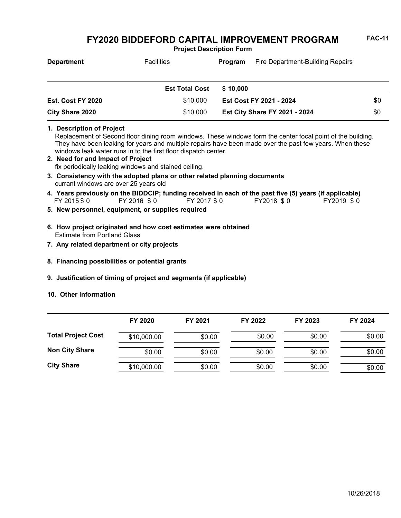**Project Description Form**

| <b>Department</b> | <b>Facilities</b>     | Fire Department-Building Repairs<br>Program |                                      |     |
|-------------------|-----------------------|---------------------------------------------|--------------------------------------|-----|
|                   | <b>Est Total Cost</b> | \$10,000                                    |                                      |     |
| Est. Cost FY 2020 | \$10,000              | Est Cost FY 2021 - 2024                     |                                      | \$0 |
| City Share 2020   | \$10,000              |                                             | <b>Est City Share FY 2021 - 2024</b> | \$0 |

**1. Description of Project**

Replacement of Second floor dining room windows. These windows form the center focal point of the building. They have been leaking for years and multiple repairs have been made over the past few years. When these windows leak water runs in to the first floor dispatch center.

- fix periodically leaking windows and stained ceiling. **2. Need for and Impact of Project**
- currant windows are over 25 years old **3. Consistency with the adopted plans or other related planning documents**
- FY 2015 \$0 FY 2016 \$0 FY 2017 \$0 FY2018 \$0 FY2019 \$0 **4. Years previously on the BIDDCIP; funding received in each of the past five (5) years (if applicable)**
- **5. New personnel, equipment, or supplies required**
- Estimate from Portland Glass **6. How project originated and how cost estimates were obtained**
- **7. Any related department or city projects**
- **8. Financing possibilities or potential grants**
- **9. Justification of timing of project and segments (if applicable)**
- **10. Other information**

|                           | FY 2020     | FY 2021 | FY 2022 | FY 2023 | FY 2024 |
|---------------------------|-------------|---------|---------|---------|---------|
| <b>Total Project Cost</b> | \$10,000.00 | \$0.00  | \$0.00  | \$0.00  | \$0.00  |
| <b>Non City Share</b>     | \$0.00      | \$0.00  | \$0.00  | \$0.00  | \$0.00  |
| <b>City Share</b>         | \$10,000.00 | \$0.00  | \$0.00  | \$0.00  | \$0.00  |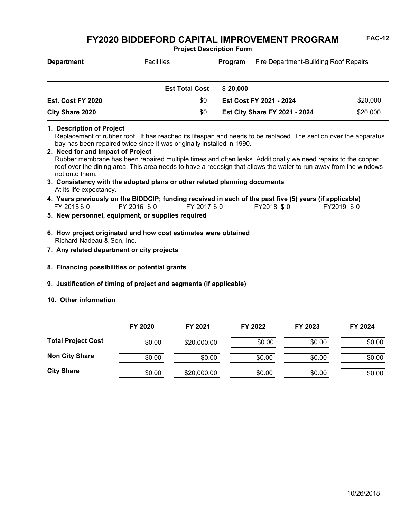**Project Description Form**

| <b>Department</b> | <b>Facilities</b>     | Program  | Fire Department-Building Roof Repairs |
|-------------------|-----------------------|----------|---------------------------------------|
|                   |                       |          |                                       |
|                   |                       |          |                                       |
|                   | <b>Est Total Cost</b> | \$20.000 |                                       |
| Est. Cost FY 2020 | \$0                   |          | \$20,000<br>Est Cost FY 2021 - 2024   |

#### **1. Description of Project**

Replacement of rubber roof. It has reached its lifespan and needs to be replaced. The section over the apparatus bay has been repaired twice since it was originally installed in 1990.

**Est City Share FY 2021 - 2024** \$20,000

- Rubber membrane has been repaired multiple times and often leaks. Additionally we need repairs to the copper roof over the dining area. This area needs to have a redesign that allows the water to run away from the windows not onto them. **2. Need for and Impact of Project 3. Consistency with the adopted plans or other related planning documents**
- At its life expectancy.
- FY 2015 \$ 0 FY 2016 \$ 0 FY 2017 \$ 0 FY2018 \$ 0 FY2019 \$ 0 **4. Years previously on the BIDDCIP; funding received in each of the past five (5) years (if applicable)**
- **5. New personnel, equipment, or supplies required**

**City Share 2020** \$0

- Richard Nadeau & Son, Inc. **6. How project originated and how cost estimates were obtained**
- **7. Any related department or city projects**
- **8. Financing possibilities or potential grants**
- **9. Justification of timing of project and segments (if applicable)**
- **10. Other information**

|                           | FY 2020 | FY 2021     | FY 2022 | FY 2023 | FY 2024 |
|---------------------------|---------|-------------|---------|---------|---------|
| <b>Total Project Cost</b> | \$0.00  | \$20,000.00 | \$0.00  | \$0.00  | \$0.00  |
| <b>Non City Share</b>     | \$0.00  | \$0.00      | \$0.00  | \$0.00  | \$0.00  |
| <b>City Share</b>         | \$0.00  | \$20,000.00 | \$0.00  | \$0.00  | \$0.00  |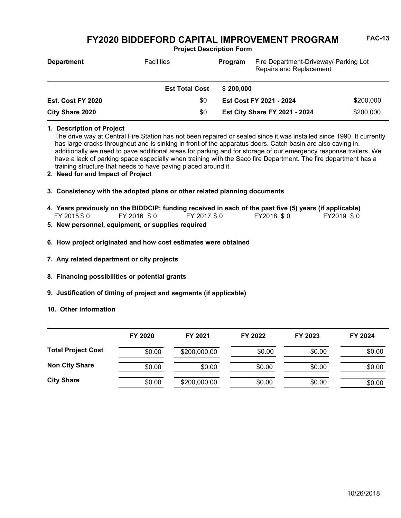**Project Description Form**

| <b>Department</b>        | <b>Facilities</b>     | Fire Department-Driveway/ Parking Lot<br>Program<br><b>Repairs and Replacement</b> |           |
|--------------------------|-----------------------|------------------------------------------------------------------------------------|-----------|
|                          | <b>Est Total Cost</b> | \$200.000                                                                          |           |
| <b>Est. Cost FY 2020</b> | \$0                   | Est Cost FY 2021 - 2024                                                            | \$200,000 |
| City Share 2020          | \$0                   | <b>Est City Share FY 2021 - 2024</b>                                               | \$200,000 |

### **1. Description of Project**

The drive way at Central Fire Station has not been repaired or sealed since it was installed since 1990. It currently has large cracks throughout and is sinking in front of the apparatus doors. Catch basin are also caving in. additionally we need to pave additional areas for parking and for storage of our emergency response trailers. We have a lack of parking space especially when training with the Saco fire Department. The fire department has a training structure that needs to have paving placed around it.

### **2. Need for and Impact of Project**

- **3. Consistency with the adopted plans or other related planning documents**
- FY 2015 \$ 0 FY 2016 \$ 0 FY 2017 \$ 0 FY2018 \$ 0 FY2019 \$ 0 **4. Years previously on the BIDDCIP; funding received in each of the past five (5) years (if applicable)**
- **5. New personnel, equipment, or supplies required**
- **6. How project originated and how cost estimates were obtained**
- **7. Any related department or city projects**
- **8. Financing possibilities or potential grants**
- **9. Justification of timing of project and segments (if applicable)**
- **10. Other information**

|                           | FY 2020 | FY 2021      | FY 2022 | FY 2023 | FY 2024 |
|---------------------------|---------|--------------|---------|---------|---------|
| <b>Total Project Cost</b> | \$0.00  | \$200,000.00 | \$0.00  | \$0.00  | \$0.00  |
| <b>Non City Share</b>     | \$0.00  | \$0.00       | \$0.00  | \$0.00  | \$0.00  |
| <b>City Share</b>         | \$0.00  | \$200,000.00 | \$0.00  | \$0.00  | \$0.00  |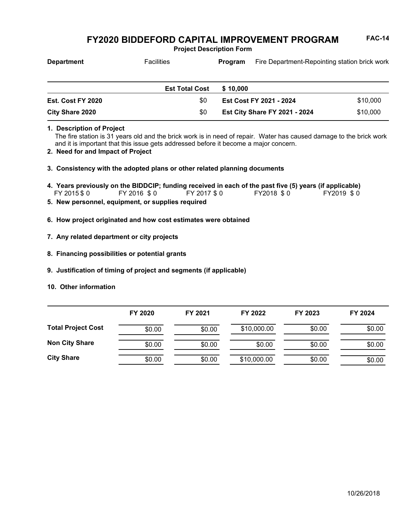**Project Description Form**

| <b>Department</b>        | <b>Facilities</b>     | Program  | Fire Department-Repointing station brick work |          |
|--------------------------|-----------------------|----------|-----------------------------------------------|----------|
|                          |                       |          |                                               |          |
|                          | <b>Est Total Cost</b> | \$10,000 |                                               |          |
| <b>Est. Cost FY 2020</b> | \$0                   |          | Est Cost FY 2021 - 2024                       | \$10,000 |

## **1. Description of Project**

The fire station is 31 years old and the brick work is in need of repair. Water has caused damage to the brick work and it is important that this issue gets addressed before it become a major concern.

**Est City Share FY 2021 - 2024** \$10,000

- **2. Need for and Impact of Project**
- **3. Consistency with the adopted plans or other related planning documents**
- FY 2015 \$ 0 FY 2016 \$ 0 FY 2017 \$ 0 FY2018 \$ 0 FY2019 \$ 0 **4. Years previously on the BIDDCIP; funding received in each of the past five (5) years (if applicable)**
- **5. New personnel, equipment, or supplies required**

**City Share 2020** \$0

- **6. How project originated and how cost estimates were obtained**
- **7. Any related department or city projects**
- **8. Financing possibilities or potential grants**
- **9. Justification of timing of project and segments (if applicable)**
- **10. Other information**

|                           | FY 2020 | FY 2021 | FY 2022     | FY 2023 | FY 2024 |
|---------------------------|---------|---------|-------------|---------|---------|
| <b>Total Project Cost</b> | \$0.00  | \$0.00  | \$10,000.00 | \$0.00  | \$0.00  |
| <b>Non City Share</b>     | \$0.00  | \$0.00  | \$0.00      | \$0.00  | \$0.00  |
| <b>City Share</b>         | \$0.00  | \$0.00  | \$10,000.00 | \$0.00  | \$0.00  |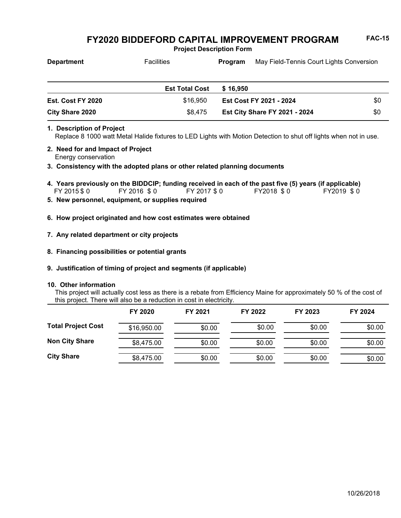**Project Description Form**

| <b>Department</b> | <b>Facilities</b>     | Program                        | May Field-Tennis Court Lights Conversion |     |
|-------------------|-----------------------|--------------------------------|------------------------------------------|-----|
|                   | <b>Est Total Cost</b> | \$16.950                       |                                          |     |
| Est. Cost FY 2020 | \$16.950              | <b>Est Cost FY 2021 - 2024</b> |                                          | \$0 |
| City Share 2020   | \$8,475               |                                | <b>Est City Share FY 2021 - 2024</b>     | \$0 |

### **1. Description of Project**

Replace 8 1000 watt Metal Halide fixtures to LED Lights with Motion Detection to shut off lights when not in use.

- Energy conservation **2. Need for and Impact of Project**
- **3. Consistency with the adopted plans or other related planning documents**
- FY 2015 \$ 0 FY 2016 \$ 0 FY 2017 \$ 0 FY2018 \$ 0 FY2019 \$ 0 **4. Years previously on the BIDDCIP; funding received in each of the past five (5) years (if applicable)**
- **5. New personnel, equipment, or supplies required**
- **6. How project originated and how cost estimates were obtained**
- **7. Any related department or city projects**
- **8. Financing possibilities or potential grants**
- **9. Justification of timing of project and segments (if applicable)**

## **10. Other information**

This project will actually cost less as there is a rebate from Efficiency Maine for approximately 50 % of the cost of this project. There will also be a reduction in cost in electricity.

|                           | FY 2020     | FY 2021 | FY 2022 | FY 2023 | FY 2024 |
|---------------------------|-------------|---------|---------|---------|---------|
| <b>Total Project Cost</b> | \$16,950.00 | \$0.00  | \$0.00  | \$0.00  | \$0.00  |
| <b>Non City Share</b>     | \$8,475.00  | \$0.00  | \$0.00  | \$0.00  | \$0.00  |
| <b>City Share</b>         | \$8,475.00  | \$0.00  | \$0.00  | \$0.00  | \$0.00  |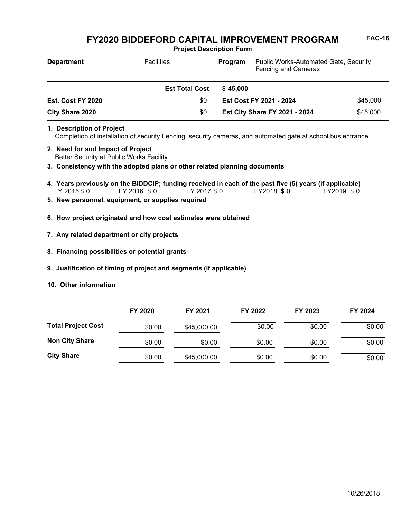**Project Description Form**

| <b>Department</b>        | <b>Facilities</b>     | <b>Public Works-Automated Gate, Security</b><br>Program<br>Fencing and Cameras |          |
|--------------------------|-----------------------|--------------------------------------------------------------------------------|----------|
|                          | <b>Est Total Cost</b> | \$45,000                                                                       |          |
| <b>Est. Cost FY 2020</b> | \$0                   | Est Cost FY 2021 - 2024                                                        | \$45,000 |
| City Share 2020          | \$0                   | <b>Est City Share FY 2021 - 2024</b>                                           | \$45,000 |

- Completion of installation of security Fencing, security cameras, and automated gate at school bus entrance. **1. Description of Project**
- Better Security at Public Works Facility **2. Need for and Impact of Project**
- **3. Consistency with the adopted plans or other related planning documents**
- FY 2015 \$ 0 FY 2016 \$ 0 FY 2017 \$ 0 FY2018 \$ 0 FY2019 \$ 0 **4. Years previously on the BIDDCIP; funding received in each of the past five (5) years (if applicable)**
- **5. New personnel, equipment, or supplies required**
- **6. How project originated and how cost estimates were obtained**
- **7. Any related department or city projects**
- **8. Financing possibilities or potential grants**
- **9. Justification of timing of project and segments (if applicable)**
- **10. Other information**

|                           | FY 2020 | FY 2021     | FY 2022 | FY 2023 | FY 2024 |
|---------------------------|---------|-------------|---------|---------|---------|
| <b>Total Project Cost</b> | \$0.00  | \$45,000.00 | \$0.00  | \$0.00  | \$0.00  |
| <b>Non City Share</b>     | \$0.00  | \$0.00      | \$0.00  | \$0.00  | \$0.00  |
| <b>City Share</b>         | \$0.00  | \$45,000.00 | \$0.00  | \$0.00  | \$0.00  |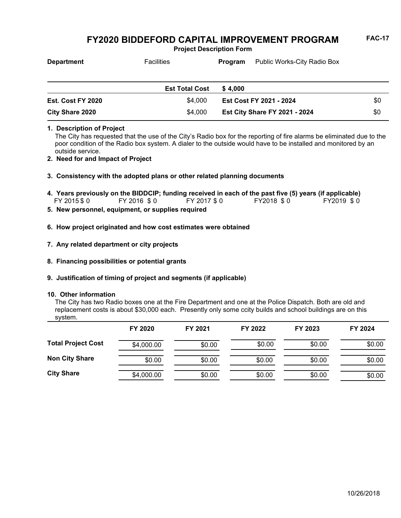**Project Description Form**

| <b>Department</b> | <b>Facilities</b>     | Public Works-City Radio Box<br>Program |                         |     |
|-------------------|-----------------------|----------------------------------------|-------------------------|-----|
|                   |                       |                                        |                         |     |
|                   | <b>Est Total Cost</b> | \$4.000                                |                         |     |
| Est. Cost FY 2020 | \$4,000               |                                        | Est Cost FY 2021 - 2024 | \$0 |

### **1. Description of Project**

The City has requested that the use of the City's Radio box for the reporting of fire alarms be eliminated due to the poor condition of the Radio box system. A dialer to the outside would have to be installed and monitored by an outside service.

**Est City Share FY 2021 - 2024** \$0

**2. Need for and Impact of Project**

### **3. Consistency with the adopted plans or other related planning documents**

- FY 2015 \$0 FY 2016 \$0 FY 2017 \$0 FY2018 \$0 FY2019 \$0 **4. Years previously on the BIDDCIP; funding received in each of the past five (5) years (if applicable)**<br>FY 2015 \$ 0 FY 2016 \$ 0 FY 2017 \$ 0 FY 2018 \$ 0 FY 2019 \$ 0
- **5. New personnel, equipment, or supplies required**

**City Share 2020** \$4,000

- **6. How project originated and how cost estimates were obtained**
- **7. Any related department or city projects**
- **8. Financing possibilities or potential grants**
- **9. Justification of timing of project and segments (if applicable)**

#### **10. Other information**

The City has two Radio boxes one at the Fire Department and one at the Police Dispatch. Both are old and replacement costs is about \$30,000 each. Presently only some ccity builds and school buildings are on this system.

|                           | FY 2020    | FY 2021 | FY 2022 | FY 2023 | FY 2024 |
|---------------------------|------------|---------|---------|---------|---------|
| <b>Total Project Cost</b> | \$4,000.00 | \$0.00  | \$0.00  | \$0.00  | \$0.00  |
| <b>Non City Share</b>     | \$0.00     | \$0.00  | \$0.00  | \$0.00  | \$0.00  |
| <b>City Share</b>         | \$4,000.00 | \$0.00  | \$0.00  | \$0.00  | \$0.00  |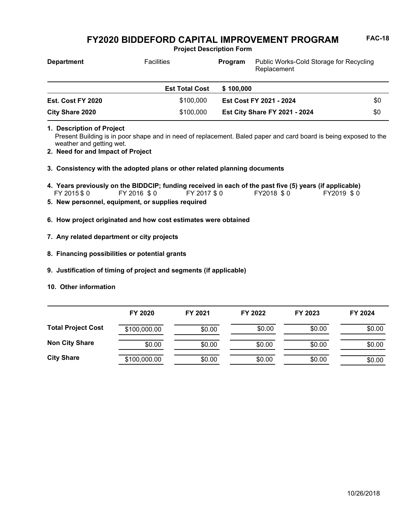**Project Description Form**

| <b>Department</b>      | <b>Facilities</b>     | Program                 | Public Works-Cold Storage for Recycling<br>Replacement |     |
|------------------------|-----------------------|-------------------------|--------------------------------------------------------|-----|
|                        | <b>Est Total Cost</b> | \$100,000               |                                                        |     |
| Est. Cost FY 2020      | \$100.000             | Est Cost FY 2021 - 2024 |                                                        | \$0 |
| <b>City Share 2020</b> | \$100,000             |                         | <b>Est City Share FY 2021 - 2024</b>                   | \$0 |

**1. Description of Project**

Present Building is in poor shape and in need of replacement. Baled paper and card board is being exposed to the weather and getting wet.

- **2. Need for and Impact of Project**
- **3. Consistency with the adopted plans or other related planning documents**
- FY 2015 \$ 0 FY 2016 \$ 0 FY 2017 \$ 0 FY2018 \$ 0 FY2019 \$ 0 **4. Years previously on the BIDDCIP; funding received in each of the past five (5) years (if applicable)**
- **5. New personnel, equipment, or supplies required**
- **6. How project originated and how cost estimates were obtained**
- **7. Any related department or city projects**
- **8. Financing possibilities or potential grants**
- **9. Justification of timing of project and segments (if applicable)**
- **10. Other information**

|                           | FY 2020      | FY 2021 | FY 2022 | FY 2023 | FY 2024 |
|---------------------------|--------------|---------|---------|---------|---------|
| <b>Total Project Cost</b> | \$100,000.00 | \$0.00  | \$0.00  | \$0.00  | \$0.00  |
| <b>Non City Share</b>     | \$0.00       | \$0.00  | \$0.00  | \$0.00  | \$0.00  |
| <b>City Share</b>         | \$100,000.00 | \$0.00  | \$0.00  | \$0.00  | \$0.00  |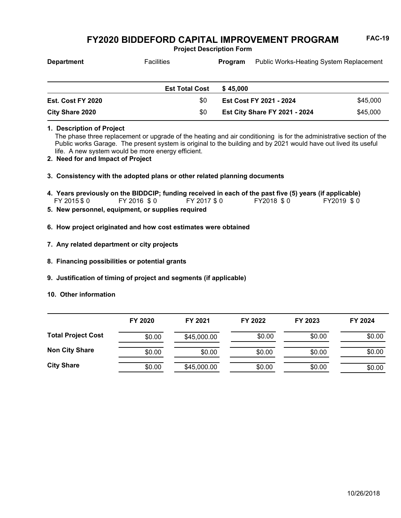**Project Description Form**

| <b>Department</b> | <b>Facilities</b>     | Program  | <b>Public Works-Heating System Replacement</b> |          |
|-------------------|-----------------------|----------|------------------------------------------------|----------|
|                   |                       |          |                                                |          |
|                   | <b>Est Total Cost</b> | \$45,000 |                                                |          |
| Est. Cost FY 2020 | \$0                   |          | Est Cost FY 2021 - 2024                        | \$45,000 |

**1. Description of Project**

The phase three replacement or upgrade of the heating and air conditioning is for the administrative section of the Public works Garage. The present system is original to the building and by 2021 would have out lived its useful life. A new system would be more energy efficient.

**Est City Share FY 2021 - 2024** \$45,000

- **2. Need for and Impact of Project**
- **3. Consistency with the adopted plans or other related planning documents**

FY 2015 \$0 FY 2016 \$0 FY 2017 \$0 FY2018 \$0 FY2019 \$0 **4. Years previously on the BIDDCIP; funding received in each of the past five (5) years (if applicable)**

**5. New personnel, equipment, or supplies required**

**City Share 2020** \$0

- **6. How project originated and how cost estimates were obtained**
- **7. Any related department or city projects**
- **8. Financing possibilities or potential grants**
- **9. Justification of timing of project and segments (if applicable)**
- **10. Other information**

|                           | FY 2020 | FY 2021     | FY 2022 | FY 2023 | FY 2024 |
|---------------------------|---------|-------------|---------|---------|---------|
| <b>Total Project Cost</b> | \$0.00  | \$45,000.00 | \$0.00  | \$0.00  | \$0.00  |
| <b>Non City Share</b>     | \$0.00  | \$0.00      | \$0.00  | \$0.00  | \$0.00  |
| <b>City Share</b>         | \$0.00  | \$45,000.00 | \$0.00  | \$0.00  | \$0.00  |